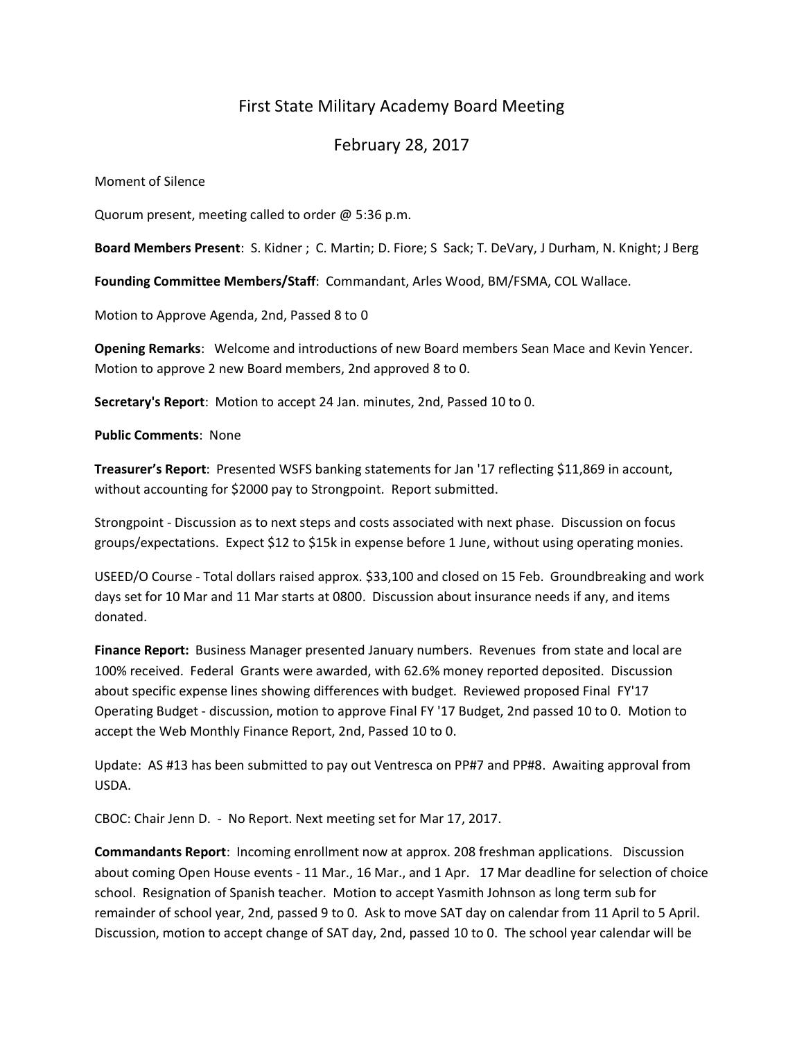# First State Military Academy Board Meeting

## February 28, 2017

Moment of Silence

Quorum present, meeting called to order @ 5:36 p.m.

**Board Members Present**: S. Kidner ; C. Martin; D. Fiore; S Sack; T. DeVary, J Durham, N. Knight; J Berg

**Founding Committee Members/Staff**: Commandant, Arles Wood, BM/FSMA, COL Wallace.

Motion to Approve Agenda, 2nd, Passed 8 to 0

**Opening Remarks**: Welcome and introductions of new Board members Sean Mace and Kevin Yencer. Motion to approve 2 new Board members, 2nd approved 8 to 0.

**Secretary's Report**: Motion to accept 24 Jan. minutes, 2nd, Passed 10 to 0.

**Public Comments**: None

**Treasurer's Report**: Presented WSFS banking statements for Jan '17 reflecting \$11,869 in account, without accounting for \$2000 pay to Strongpoint. Report submitted.

Strongpoint - Discussion as to next steps and costs associated with next phase. Discussion on focus groups/expectations. Expect \$12 to \$15k in expense before 1 June, without using operating monies.

USEED/O Course - Total dollars raised approx. \$33,100 and closed on 15 Feb. Groundbreaking and work days set for 10 Mar and 11 Mar starts at 0800. Discussion about insurance needs if any, and items donated.

**Finance Report:** Business Manager presented January numbers. Revenues from state and local are 100% received. Federal Grants were awarded, with 62.6% money reported deposited. Discussion about specific expense lines showing differences with budget. Reviewed proposed Final FY'17 Operating Budget - discussion, motion to approve Final FY '17 Budget, 2nd passed 10 to 0. Motion to accept the Web Monthly Finance Report, 2nd, Passed 10 to 0.

Update: AS #13 has been submitted to pay out Ventresca on PP#7 and PP#8. Awaiting approval from USDA.

CBOC: Chair Jenn D. - No Report. Next meeting set for Mar 17, 2017.

**Commandants Report**: Incoming enrollment now at approx. 208 freshman applications. Discussion about coming Open House events - 11 Mar., 16 Mar., and 1 Apr. 17 Mar deadline for selection of choice school. Resignation of Spanish teacher. Motion to accept Yasmith Johnson as long term sub for remainder of school year, 2nd, passed 9 to 0. Ask to move SAT day on calendar from 11 April to 5 April. Discussion, motion to accept change of SAT day, 2nd, passed 10 to 0. The school year calendar will be